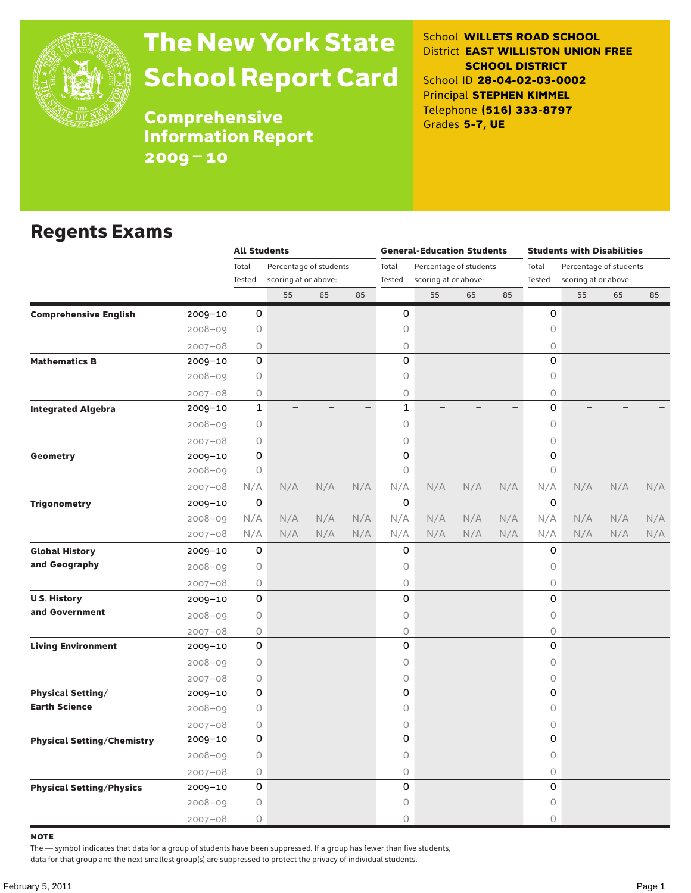

# The New York State School Report Card

School **WILLETS ROAD SCHOOL** District **EAST WILLISTON UNION FREE SCHOOL DISTRICT** School ID **28-04-02-03-0002** Principal **STEPHEN KIMMEL** Telephone **(516) 333-8797** Grades **5-7, UE**

**Comprehensive** Information Report 2009–10

#### Regents Exams

|                                   |             | <b>All Students</b> |                        |     |     |              | <b>General-Education Students</b> |     |     | <b>Students with Disabilities</b> |                      |                        |     |  |  |
|-----------------------------------|-------------|---------------------|------------------------|-----|-----|--------------|-----------------------------------|-----|-----|-----------------------------------|----------------------|------------------------|-----|--|--|
|                                   |             | Total               | Percentage of students |     |     | Total        | Percentage of students            |     |     | Total                             |                      |                        |     |  |  |
|                                   |             | Tested              | scoring at or above:   |     |     | Tested       | scoring at or above:              |     |     | Tested                            | scoring at or above: |                        |     |  |  |
|                                   |             |                     | 55                     | 65  | 85  |              | 55                                | 65  | 85  |                                   | 55                   | 65                     | 85  |  |  |
| <b>Comprehensive English</b>      | 2009-10     | 0                   |                        |     |     | 0            |                                   |     |     | 0                                 |                      |                        |     |  |  |
|                                   | 2008-09     | $\circ$             |                        |     |     | 0            |                                   |     |     | 0                                 |                      |                        |     |  |  |
|                                   | $2007 - 08$ | $\circ$             |                        |     |     | 0            |                                   |     |     | 0                                 |                      |                        |     |  |  |
| <b>Mathematics B</b>              | 2009-10     | 0                   |                        |     |     | 0            |                                   |     |     | $\Omega$                          |                      |                        |     |  |  |
|                                   | 2008-09     | $\circ$             |                        |     |     | 0            |                                   |     |     | 0                                 |                      |                        |     |  |  |
|                                   | $2007 - 08$ | 0                   |                        |     |     | 0            |                                   |     |     | 0                                 |                      |                        |     |  |  |
| <b>Integrated Algebra</b>         | 2009-10     | 1                   |                        |     |     | $\mathbf{1}$ |                                   |     |     | $\mathsf{O}$                      |                      |                        |     |  |  |
|                                   | 2008-09     | 0                   |                        |     |     | 0            |                                   |     |     | 0                                 |                      |                        |     |  |  |
|                                   | $2007 - 08$ | 0                   |                        |     |     | 0            |                                   |     |     | $\bigcirc$                        |                      |                        |     |  |  |
| Geometry                          | 2009-10     | 0                   |                        |     |     | 0            |                                   |     |     | 0                                 |                      |                        |     |  |  |
|                                   | $2008 - 09$ | $\bigcirc$          |                        |     |     | 0            |                                   |     |     | $\circ$                           |                      |                        |     |  |  |
|                                   | $2007 - 08$ | N/A                 | N/A                    | N/A | N/A | N/A          | N/A                               | N/A | N/A | N/A                               | N/A                  | N/A                    | N/A |  |  |
| <b>Trigonometry</b>               | 2009-10     | 0                   |                        |     |     | $\mathbf 0$  |                                   |     |     | 0                                 |                      |                        |     |  |  |
|                                   | 2008-09     | N/A                 | N/A                    | N/A | N/A | N/A          | N/A                               | N/A | N/A | N/A                               | N/A                  | N/A                    | N/A |  |  |
|                                   | $2007 - 08$ | N/A                 | N/A                    | N/A | N/A | N/A          | N/A                               | N/A | N/A | N/A                               | N/A                  | N/A                    | N/A |  |  |
| <b>Global History</b>             | 2009-10     | 0                   |                        |     |     | 0            |                                   |     |     | 0                                 |                      |                        |     |  |  |
| and Geography                     | $2008 - 09$ | $\circ$             |                        |     |     | 0            |                                   |     |     | 0                                 |                      |                        |     |  |  |
|                                   | $2007 - 08$ | 0                   |                        |     |     | 0            |                                   |     |     | 0                                 |                      |                        |     |  |  |
| <b>U.S. History</b>               | 2009-10     | 0                   |                        |     |     | 0            |                                   |     |     | 0                                 |                      |                        |     |  |  |
| and Government                    | $2008 - 09$ | 0                   |                        |     |     | 0            |                                   |     |     | 0                                 |                      |                        |     |  |  |
|                                   | $2007 - 08$ | 0                   |                        |     |     | 0            |                                   |     |     | $\circ$                           |                      |                        |     |  |  |
| <b>Living Environment</b>         | 2009-10     | 0                   |                        |     |     | 0            |                                   |     |     | 0                                 |                      | Percentage of students |     |  |  |
|                                   | $2008 - 09$ | 0                   |                        |     |     | 0            |                                   |     |     | 0                                 |                      |                        |     |  |  |
|                                   | $2007 - 08$ | 0                   |                        |     |     | 0            |                                   |     |     | 0                                 |                      |                        |     |  |  |
| <b>Physical Setting/</b>          | 2009-10     | 0                   |                        |     |     | 0            |                                   |     |     | 0                                 |                      |                        |     |  |  |
| <b>Earth Science</b>              | $2008 - 09$ | $\circ$             |                        |     |     | 0            |                                   |     |     | 0                                 |                      |                        |     |  |  |
|                                   | $2007 - 08$ | 0                   |                        |     |     | 0            |                                   |     |     | 0                                 |                      |                        |     |  |  |
| <b>Physical Setting/Chemistry</b> | 2009-10     | 0                   |                        |     |     | 0            |                                   |     |     | 0                                 |                      |                        |     |  |  |
|                                   | $2008 - 09$ | $\circ$             |                        |     |     | 0            |                                   |     |     | 0                                 |                      |                        |     |  |  |
|                                   | $2007 - 08$ | 0                   |                        |     |     | 0            |                                   |     |     | 0                                 |                      |                        |     |  |  |
| <b>Physical Setting/Physics</b>   | 2009-10     | 0                   |                        |     |     | 0            |                                   |     |     | 0                                 |                      |                        |     |  |  |
|                                   | 2008-09     | $\circ$             |                        |     |     | 0            |                                   |     |     | 0                                 |                      |                        |     |  |  |
|                                   | $2007 - 08$ | $\circ$             |                        |     |     | 0            |                                   |     |     | $\circ$                           |                      |                        |     |  |  |

note

The — symbol indicates that data for a group of students have been suppressed. If a group has fewer than five students,

data for that group and the next smallest group(s) are suppressed to protect the privacy of individual students.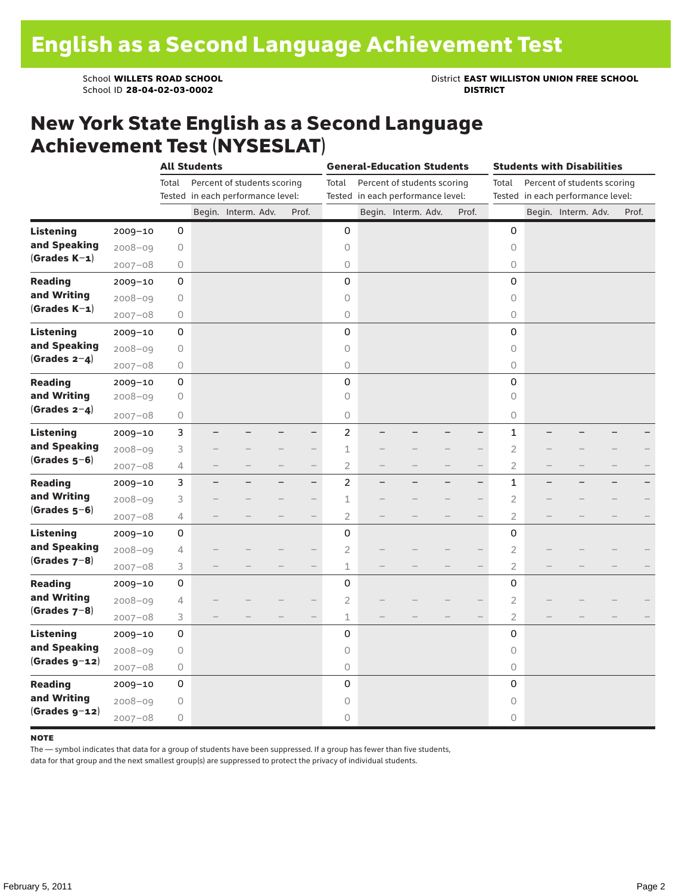School ID 28-04-02-03-0002

School **WILLETS ROAD SCHOOL**<br>School ID 28-04-02-03-0002<br>**DISTRICT** DISTRICT

### New York State English as a Second Language Achievement Test (NYSESLAT)

|                  |             |       | <b>All Students</b> |                                                                  |                          |                | <b>General-Education Students</b>                                |                          |                | <b>Students with Disabilities</b><br>Percent of students scoring<br>Tested in each performance level:<br>Begin. Interm. Adv. |  |       |  |
|------------------|-------------|-------|---------------------|------------------------------------------------------------------|--------------------------|----------------|------------------------------------------------------------------|--------------------------|----------------|------------------------------------------------------------------------------------------------------------------------------|--|-------|--|
|                  |             | Total |                     | Percent of students scoring<br>Tested in each performance level: |                          | Total          | Percent of students scoring<br>Tested in each performance level: |                          | Total          |                                                                                                                              |  |       |  |
|                  |             |       |                     | Begin. Interm. Adv.                                              | Prof.                    |                | Begin. Interm. Adv.                                              | Prof.                    |                |                                                                                                                              |  | Prof. |  |
| <b>Listening</b> | 2009-10     | 0     |                     |                                                                  |                          | 0              |                                                                  |                          | 0              |                                                                                                                              |  |       |  |
| and Speaking     | $2008 - 09$ | 0     |                     |                                                                  |                          | 0              |                                                                  |                          | 0              |                                                                                                                              |  |       |  |
| $(Grades K-1)$   | $2007 - 08$ | 0     |                     |                                                                  |                          | $\bigcirc$     |                                                                  |                          | 0              |                                                                                                                              |  |       |  |
| <b>Reading</b>   | $2009 - 10$ | 0     |                     |                                                                  |                          | 0              |                                                                  |                          | 0              |                                                                                                                              |  |       |  |
| and Writing      | 2008-09     | 0     |                     |                                                                  |                          | $\circ$        |                                                                  |                          | $\circ$        |                                                                                                                              |  |       |  |
| $(Grades K-1)$   | $2007 - 08$ | 0     |                     |                                                                  |                          | $\circ$        |                                                                  |                          | 0              |                                                                                                                              |  |       |  |
| <b>Listening</b> | $2009 - 10$ | 0     |                     |                                                                  |                          | 0              |                                                                  |                          | 0              |                                                                                                                              |  |       |  |
| and Speaking     | $2008 - 09$ | 0     |                     |                                                                  |                          | 0              |                                                                  |                          | $\circ$        |                                                                                                                              |  |       |  |
| $(Grades 2-4)$   | $2007 - 08$ | 0     |                     |                                                                  |                          | $\bigcirc$     |                                                                  |                          | $\circ$        |                                                                                                                              |  |       |  |
| <b>Reading</b>   | $2009 - 10$ | 0     |                     |                                                                  |                          | 0              |                                                                  |                          | 0              |                                                                                                                              |  |       |  |
| and Writing      | $2008 - 09$ | 0     |                     |                                                                  |                          | $\circ$        |                                                                  |                          | $\circ$        |                                                                                                                              |  |       |  |
| $(Grades 2-4)$   | $2007 - 08$ | 0     |                     |                                                                  |                          | 0              |                                                                  |                          | 0              |                                                                                                                              |  |       |  |
| Listening        | $2009 - 10$ | 3     |                     |                                                                  | $\overline{\phantom{0}}$ | $\overline{c}$ |                                                                  |                          | $\mathbf{1}$   |                                                                                                                              |  |       |  |
| and Speaking     | $2008 - 09$ | 3     |                     |                                                                  |                          | $\mathbf 1$    |                                                                  |                          | $\overline{2}$ |                                                                                                                              |  |       |  |
| $(Grades 5-6)$   | $2007 - 08$ | 4     |                     |                                                                  | $\qquad \qquad -$        | $\overline{2}$ |                                                                  | $\overline{\phantom{0}}$ | 2              |                                                                                                                              |  |       |  |
| <b>Reading</b>   | $2009 - 10$ | 3     |                     |                                                                  | $\overline{\phantom{0}}$ | $\overline{c}$ |                                                                  | -                        | 1              |                                                                                                                              |  |       |  |
| and Writing      | $2008 - 09$ | 3     |                     |                                                                  |                          | 1              |                                                                  |                          | 2              |                                                                                                                              |  |       |  |
| $(Grades 5-6)$   | $2007 - 08$ | 4     |                     |                                                                  | $\qquad \qquad -$        | $\overline{2}$ |                                                                  |                          | $\overline{2}$ |                                                                                                                              |  |       |  |
| <b>Listening</b> | $2009 - 10$ | 0     |                     |                                                                  |                          | 0              |                                                                  |                          | 0              |                                                                                                                              |  |       |  |
| and Speaking     | $2008 - 09$ | 4     |                     |                                                                  |                          | $\overline{2}$ |                                                                  |                          | $\overline{2}$ |                                                                                                                              |  |       |  |
| (Grades $7-8$ )  | $2007 - 08$ | 3     |                     |                                                                  | $\overline{\phantom{0}}$ | $\mathbf 1$    |                                                                  |                          | $\overline{2}$ |                                                                                                                              |  |       |  |
| <b>Reading</b>   | $2009 - 10$ | 0     |                     |                                                                  |                          | 0              |                                                                  |                          | 0              |                                                                                                                              |  |       |  |
| and Writing      | $2008 - 09$ | 4     |                     |                                                                  |                          | $\overline{c}$ |                                                                  |                          | $\overline{2}$ |                                                                                                                              |  |       |  |
| (Grades $7-8$ )  | $2007 - 08$ | 3     |                     |                                                                  |                          | $\mathbf 1$    |                                                                  |                          | 2              |                                                                                                                              |  |       |  |
| <b>Listening</b> | $2009 - 10$ | 0     |                     |                                                                  |                          | 0              |                                                                  |                          | 0              |                                                                                                                              |  |       |  |
| and Speaking     | $2008 - 09$ | 0     |                     |                                                                  |                          | $\circ$        |                                                                  |                          | $\circ$        |                                                                                                                              |  |       |  |
| $(Grades g-12)$  | $2007 - 08$ | 0     |                     |                                                                  |                          | $\bigcirc$     |                                                                  |                          | $\circ$        |                                                                                                                              |  |       |  |
| <b>Reading</b>   | $2009 - 10$ | 0     |                     |                                                                  |                          | 0              |                                                                  |                          | 0              |                                                                                                                              |  |       |  |
| and Writing      | $2008 - 09$ | 0     |                     |                                                                  |                          | 0              |                                                                  |                          | 0              |                                                                                                                              |  |       |  |
| $(Grades g-12)$  | $2007 - 08$ | 0     |                     |                                                                  |                          | 0              |                                                                  |                          | 0              |                                                                                                                              |  |       |  |

#### **NOTE**

The — symbol indicates that data for a group of students have been suppressed. If a group has fewer than five students,

data for that group and the next smallest group(s) are suppressed to protect the privacy of individual students.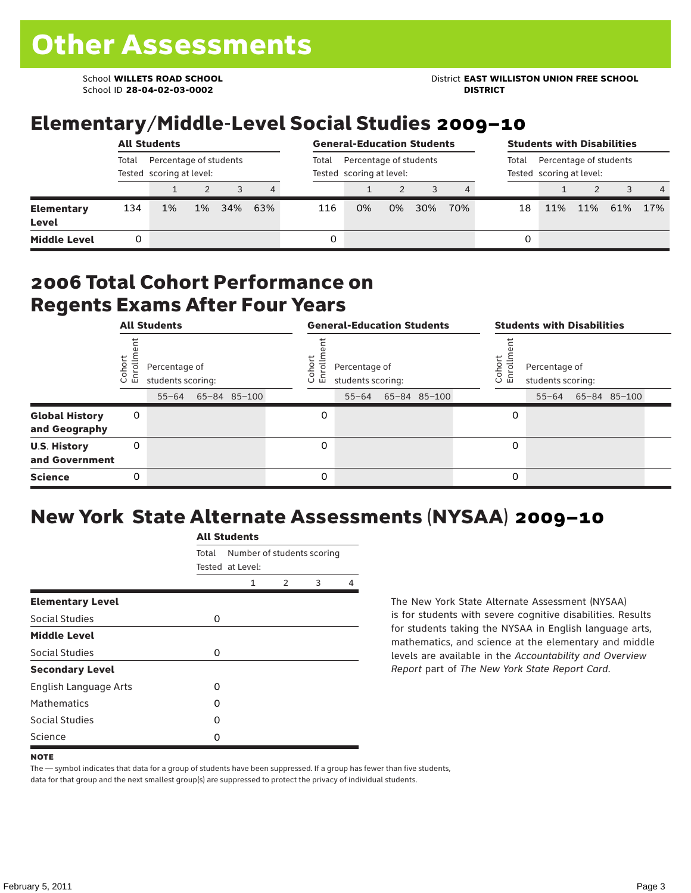School ID **28-04-02-03-0002 DISTRICT**

# Elementary/Middle-Level Social Studies 2009–10

|                            |       | <b>All Students</b>                                |       | <b>General-Education Students</b> |       |                                                    |    |    |                                                             | <b>Students with Disabilities</b> |    |     |     |     |                |
|----------------------------|-------|----------------------------------------------------|-------|-----------------------------------|-------|----------------------------------------------------|----|----|-------------------------------------------------------------|-----------------------------------|----|-----|-----|-----|----------------|
|                            | Total | Percentage of students<br>Tested scoring at level: |       |                                   | Total | Percentage of students<br>Tested scoring at level: |    |    | Percentage of students<br>Total<br>Tested scoring at level: |                                   |    |     |     |     |                |
|                            |       |                                                    |       | 3                                 | 4     |                                                    |    |    |                                                             | 4                                 |    |     |     |     | $\overline{4}$ |
| <b>Elementary</b><br>Level | 134   | 1%                                                 | $1\%$ | 34%                               | 63%   | 116                                                | 0% | 0% | 30%                                                         | 70%                               | 18 | 11% | 11% | 61% | 17%            |
| <b>Middle Level</b>        |       |                                                    |       |                                   |       | 0                                                  |    |    |                                                             |                                   | 0  |     |     |     |                |

#### 2006 Total Cohort Performance on Regents Exams After Four Years

|                                        |                 | <b>All Students</b>                             |              |                  | <b>General-Education Students</b>               |              | <b>Students with Disabilities</b> |                                    |  |                    |  |  |
|----------------------------------------|-----------------|-------------------------------------------------|--------------|------------------|-------------------------------------------------|--------------|-----------------------------------|------------------------------------|--|--------------------|--|--|
|                                        | Cohor<br>Enroll | Percentage of<br>students scoring:<br>$55 - 64$ | 65-84 85-100 | Cohoi<br>o.<br>ᇛ | Percentage of<br>students scoring:<br>$55 - 64$ | 65-84 85-100 | Cohort<br>o,<br>멷                 | Percentage of<br>students scoring: |  | 55-64 65-84 85-100 |  |  |
| <b>Global History</b><br>and Geography | 0               |                                                 |              | 0                |                                                 |              | 0                                 |                                    |  |                    |  |  |
| <b>U.S. History</b><br>and Government  | 0               |                                                 |              | 0                |                                                 |              | 0                                 |                                    |  |                    |  |  |
| <b>Science</b>                         | 0               |                                                 |              | 0                |                                                 |              | 0                                 |                                    |  |                    |  |  |

## New York State Alternate Assessments (NYSAA) 2009–10

|                         | <b>All Students</b> |                                                |               |   |   |  |  |  |  |  |
|-------------------------|---------------------|------------------------------------------------|---------------|---|---|--|--|--|--|--|
|                         | Total               | Number of students scoring<br>Tested at Level: |               |   |   |  |  |  |  |  |
|                         |                     | 1                                              | $\mathcal{P}$ | 3 | 4 |  |  |  |  |  |
| <b>Elementary Level</b> |                     |                                                |               |   |   |  |  |  |  |  |
| Social Studies          | 0                   |                                                |               |   |   |  |  |  |  |  |
| <b>Middle Level</b>     |                     |                                                |               |   |   |  |  |  |  |  |
| Social Studies          | 0                   |                                                |               |   |   |  |  |  |  |  |
| <b>Secondary Level</b>  |                     |                                                |               |   |   |  |  |  |  |  |
| English Language Arts   | O                   |                                                |               |   |   |  |  |  |  |  |
| <b>Mathematics</b>      | O                   |                                                |               |   |   |  |  |  |  |  |
| Social Studies          | O                   |                                                |               |   |   |  |  |  |  |  |
| Science                 | O                   |                                                |               |   |   |  |  |  |  |  |

The New York State Alternate Assessment (NYSAA) is for students with severe cognitive disabilities. Results for students taking the NYSAA in English language arts, mathematics, and science at the elementary and middle levels are available in the *Accountability and Overview Report* part of *The New York State Report Card*.

The — symbol indicates that data for a group of students have been suppressed. If a group has fewer than five students, data for that group and the next smallest group(s) are suppressed to protect the privacy of individual students.

**NOTE**